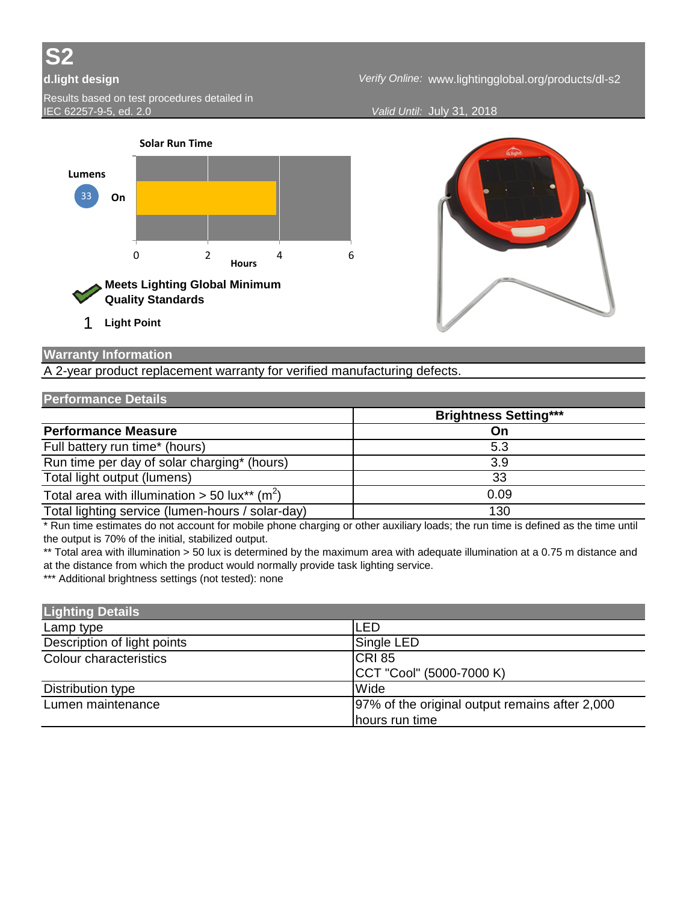

*Verify Online:* **d.light design** www.lightingglobal.org/products/dl-s2

*Valid Until:* July 31, 2018





## **Warranty Information**

A 2-year product replacement warranty for verified manufacturing defects.

## **Performance Details**

|                                                                       | <b>Brightness Setting***</b> |
|-----------------------------------------------------------------------|------------------------------|
| <b>Performance Measure</b>                                            | On                           |
| Full battery run time* (hours)                                        | 5.3                          |
| Run time per day of solar charging* (hours)                           | 3.9                          |
| Total light output (lumens)                                           | 33                           |
| Total area with illumination > 50 lux <sup>**</sup> (m <sup>2</sup> ) | 0.09                         |
| Total lighting service (lumen-hours / solar-day)                      | 130                          |

\* Run time estimates do not account for mobile phone charging or other auxiliary loads; the run time is defined as the time until the output is 70% of the initial, stabilized output.

\*\* Total area with illumination > 50 lux is determined by the maximum area with adequate illumination at a 0.75 m distance and at the distance from which the product would normally provide task lighting service.

\*\*\* Additional brightness settings (not tested): none

| <b>Lighting Details</b>     |                                                 |
|-----------------------------|-------------------------------------------------|
| Lamp type                   | <b>LED</b>                                      |
| Description of light points | Single LED                                      |
| Colour characteristics      | CRI <sub>85</sub>                               |
|                             | CCT "Cool" (5000-7000 K)                        |
| Distribution type           | Wide                                            |
| Lumen maintenance           | 197% of the original output remains after 2,000 |
|                             | hours run time                                  |